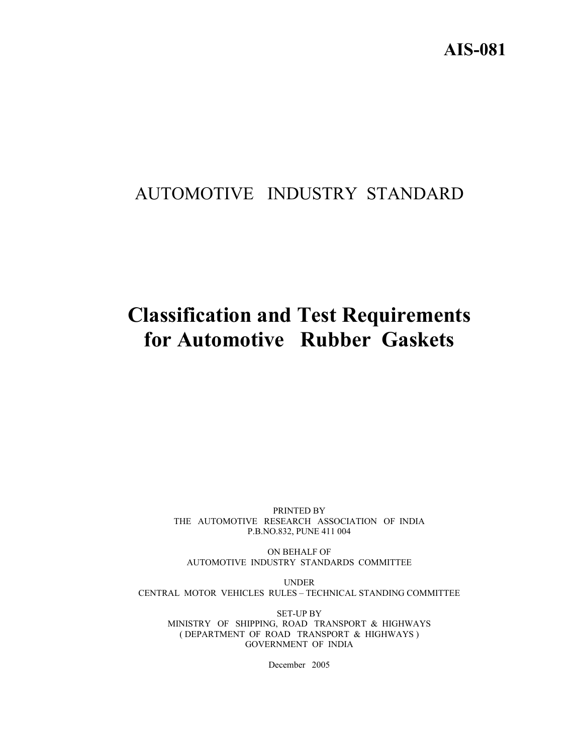# AUTOMOTIVE INDUSTRY STANDARD

# **Classification and Test Requirements for Automotive Rubber Gaskets**

PRINTED BY THE AUTOMOTIVE RESEARCH ASSOCIATION OF INDIA P.B.NO.832, PUNE 411 004

ON BEHALF OF AUTOMOTIVE INDUSTRY STANDARDS COMMITTEE

UNDER CENTRAL MOTOR VEHICLES RULES – TECHNICAL STANDING COMMITTEE

SET-UP BY MINISTRY OF SHIPPING, ROAD TRANSPORT & HIGHWAYS ( DEPARTMENT OF ROAD TRANSPORT & HIGHWAYS ) GOVERNMENT OF INDIA

December 2005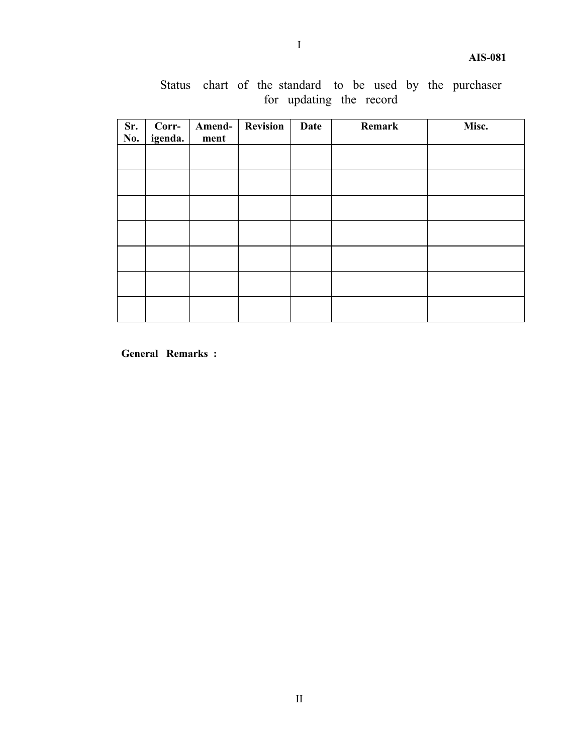| Sr.<br>No. | Corr-<br>igenda. | Amend-<br>ment | <b>Revision</b> | Date | Remark | Misc. |
|------------|------------------|----------------|-----------------|------|--------|-------|
|            |                  |                |                 |      |        |       |
|            |                  |                |                 |      |        |       |
|            |                  |                |                 |      |        |       |
|            |                  |                |                 |      |        |       |
|            |                  |                |                 |      |        |       |
|            |                  |                |                 |      |        |       |
|            |                  |                |                 |      |        |       |

Status chart of the standard to be used by the purchaser for updating the record

**General Remarks :**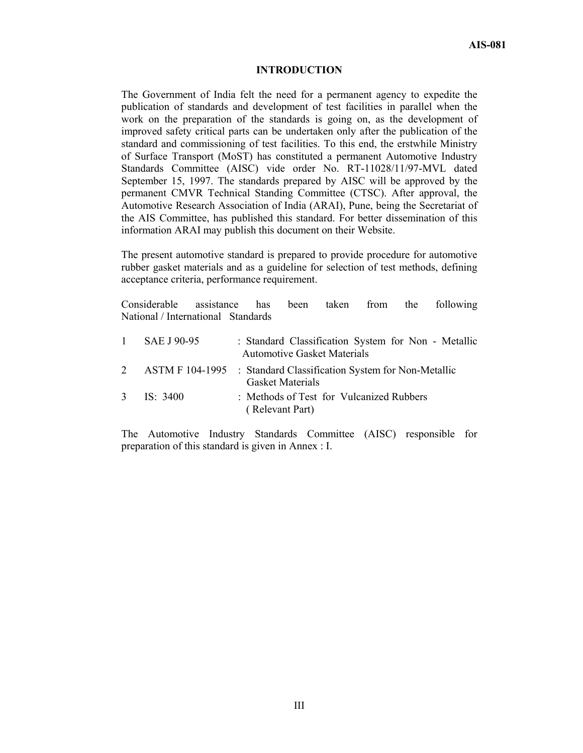#### **INTRODUCTION**

The Government of India felt the need for a permanent agency to expedite the publication of standards and development of test facilities in parallel when the work on the preparation of the standards is going on, as the development of improved safety critical parts can be undertaken only after the publication of the standard and commissioning of test facilities. To this end, the erstwhile Ministry of Surface Transport (MoST) has constituted a permanent Automotive Industry Standards Committee (AISC) vide order No. RT-11028/11/97-MVL dated September 15, 1997. The standards prepared by AISC will be approved by the permanent CMVR Technical Standing Committee (CTSC). After approval, the Automotive Research Association of India (ARAI), Pune, being the Secretariat of the AIS Committee, has published this standard. For better dissemination of this information ARAI may publish this document on their Website.

The present automotive standard is prepared to provide procedure for automotive rubber gasket materials and as a guideline for selection of test methods, defining acceptance criteria, performance requirement.

Considerable assistance has been taken from the following National / International Standards

|   | 1 $SAE$ J 90-95 | : Standard Classification System for Non - Metallic<br><b>Automotive Gasket Materials</b>    |
|---|-----------------|----------------------------------------------------------------------------------------------|
| 2 |                 | ASTM F 104-1995 : Standard Classification System for Non-Metallic<br><b>Gasket Materials</b> |
|   | 3 IS: $3400$    | : Methods of Test for Vulcanized Rubbers<br>(Relevant Part)                                  |

The Automotive Industry Standards Committee (AISC) responsible for preparation of this standard is given in Annex : I.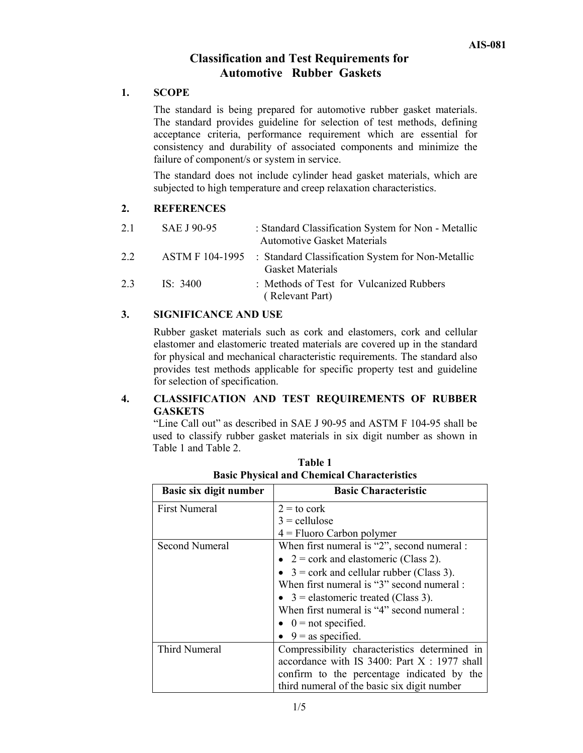# **Classification and Test Requirements for Automotive Rubber Gaskets**

#### **1. SCOPE**

The standard is being prepared for automotive rubber gasket materials. The standard provides guideline for selection of test methods, defining acceptance criteria, performance requirement which are essential for consistency and durability of associated components and minimize the failure of component/s or system in service.

The standard does not include cylinder head gasket materials, which are subjected to high temperature and creep relaxation characteristics.

#### **2. REFERENCES**

| 2.1 | SAE J 90-95 | : Standard Classification System for Non - Metallic<br><b>Automotive Gasket Materials</b>    |
|-----|-------------|----------------------------------------------------------------------------------------------|
| 2.2 |             | ASTM F 104-1995 : Standard Classification System for Non-Metallic<br><b>Gasket Materials</b> |
| 2.3 | IS: 3400    | : Methods of Test for Vulcanized Rubbers<br>(Relevant Part)                                  |

#### **3. SIGNIFICANCE AND USE**

Rubber gasket materials such as cork and elastomers, cork and cellular elastomer and elastomeric treated materials are covered up in the standard for physical and mechanical characteristic requirements. The standard also provides test methods applicable for specific property test and guideline for selection of specification.

# **4. CLASSIFICATION AND TEST REQUIREMENTS OF RUBBER GASKETS**

"Line Call out" as described in SAE J 90-95 and ASTM F 104-95 shall be used to classify rubber gasket materials in six digit number as shown in Table 1 and Table 2.

| Basic six digit number | <b>Basic Characteristic</b>                        |
|------------------------|----------------------------------------------------|
| <b>First Numeral</b>   | $2 =$ to cork                                      |
|                        | $3 =$ cellulose                                    |
|                        | $4 =$ Fluoro Carbon polymer                        |
| <b>Second Numeral</b>  | When first numeral is "2", second numeral :        |
|                        | • $2 = \text{cork}$ and elastomeric (Class 2).     |
|                        | • $3 = \text{cork}$ and cellular rubber (Class 3). |
|                        | When first numeral is "3" second numeral :         |
|                        | • $3$ = elastomeric treated (Class 3).             |
|                        | When first numeral is "4" second numeral :         |
|                        | $\bullet$ 0 = not specified.                       |
|                        | $\bullet$ 9 = as specified.                        |
| Third Numeral          | Compressibility characteristics determined in      |
|                        | accordance with IS 3400: Part $X : 1977$ shall     |
|                        | confirm to the percentage indicated by the         |
|                        | third numeral of the basic six digit number        |

**Table 1 Basic Physical and Chemical Characteristics**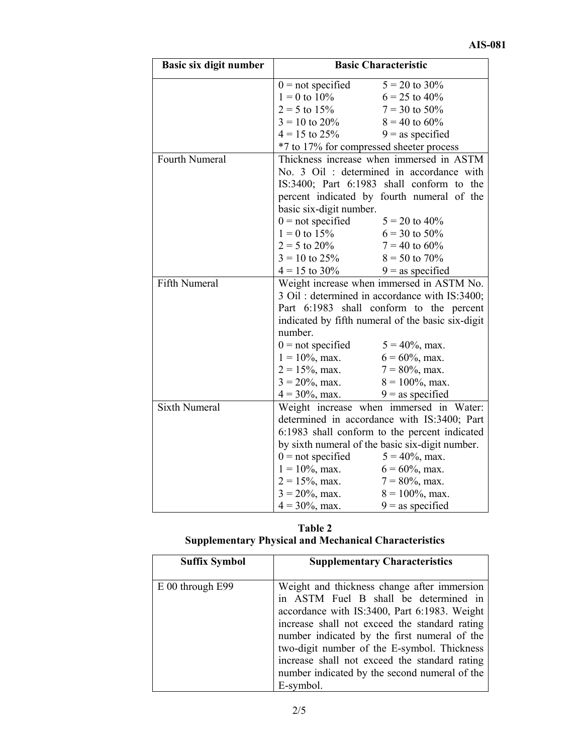| Basic six digit number | <b>Basic Characteristic</b>              |                                                   |  |
|------------------------|------------------------------------------|---------------------------------------------------|--|
|                        | $0 = not specified$                      | $5 = 20$ to $30\%$                                |  |
|                        | $1 = 0$ to $10\%$                        | $6 = 25$ to $40\%$                                |  |
|                        | $2 = 5$ to $15\%$                        | $7 = 30$ to 50%                                   |  |
|                        | $3 = 10$ to $20\%$                       | $8 = 40$ to 60%                                   |  |
|                        | $4 = 15$ to $25\%$                       | $9 =$ as specified                                |  |
|                        | *7 to 17% for compressed sheeter process |                                                   |  |
| Fourth Numeral         |                                          | Thickness increase when immersed in ASTM          |  |
|                        |                                          | No. 3 Oil: determined in accordance with          |  |
|                        |                                          | IS:3400; Part 6:1983 shall conform to the         |  |
|                        |                                          | percent indicated by fourth numeral of the        |  |
|                        | basic six-digit number.                  |                                                   |  |
|                        | $0 =$ not specified                      | $5 = 20$ to $40\%$                                |  |
|                        | $1 = 0$ to $15\%$                        | $6 = 30$ to $50\%$                                |  |
|                        | $2 = 5$ to 20% $7 = 40$ to 60%           |                                                   |  |
|                        | $3 = 10$ to $25\%$ $8 = 50$ to $70\%$    |                                                   |  |
|                        | $4 = 15$ to $30\%$ 9 = as specified      |                                                   |  |
| Fifth Numeral          |                                          | Weight increase when immersed in ASTM No.         |  |
|                        |                                          | 3 Oil: determined in accordance with IS:3400;     |  |
|                        |                                          | Part 6:1983 shall conform to the percent          |  |
|                        |                                          | indicated by fifth numeral of the basic six-digit |  |
|                        | number.                                  |                                                   |  |
|                        | $0 =$ not specified $5 = 40\%$ , max.    |                                                   |  |
|                        | $1 = 10\%, \text{max.}$                  | $6 = 60\%$ , max.                                 |  |
|                        | $2 = 15\%$ , max.                        | $7 = 80\%, \text{max.}$                           |  |
|                        | $3 = 20\%$ , max. $8 = 100\%$ , max.     |                                                   |  |
|                        | $4 = 30\%, \text{ max.}$                 | $9 =$ as specified                                |  |
| <b>Sixth Numeral</b>   |                                          | Weight increase when immersed in Water:           |  |
|                        |                                          | determined in accordance with IS:3400; Part       |  |
|                        |                                          | 6:1983 shall conform to the percent indicated     |  |
|                        |                                          | by sixth numeral of the basic six-digit number.   |  |
|                        | $0 = not specified$                      | $5 = 40\%$ , max.                                 |  |
|                        | $1 = 10\%$ , max.                        | $6 = 60\%$ , max.                                 |  |
|                        | $2 = 15\%$ , max.                        | $7 = 80\%$ , max.                                 |  |
|                        | $3 = 20\%, \text{max.}$                  | $8 = 100\%$ , max.                                |  |
|                        | $4 = 30\%, \text{max.}$                  | $9 =$ as specified                                |  |

| Table 2                                                      |
|--------------------------------------------------------------|
| <b>Supplementary Physical and Mechanical Characteristics</b> |

| <b>Suffix Symbol</b> | <b>Supplementary Characteristics</b>                                                                                                                                                                                                                                                                                                                                                                |
|----------------------|-----------------------------------------------------------------------------------------------------------------------------------------------------------------------------------------------------------------------------------------------------------------------------------------------------------------------------------------------------------------------------------------------------|
| $E$ 00 through E99   | Weight and thickness change after immersion<br>in ASTM Fuel B shall be determined in<br>accordance with IS:3400, Part 6:1983. Weight<br>increase shall not exceed the standard rating<br>number indicated by the first numeral of the<br>two-digit number of the E-symbol. Thickness<br>increase shall not exceed the standard rating<br>number indicated by the second numeral of the<br>E-symbol. |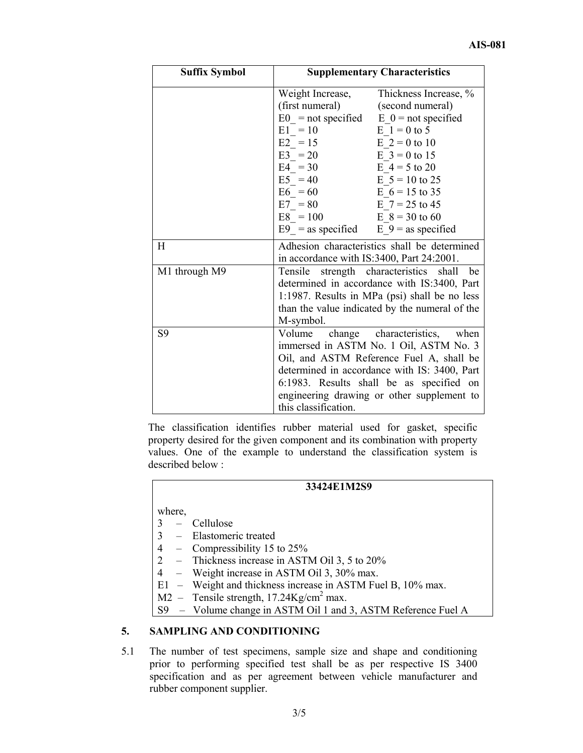| <b>Suffix Symbol</b> | <b>Supplementary Characteristics</b>         |                                                |  |
|----------------------|----------------------------------------------|------------------------------------------------|--|
|                      | Weight Increase,                             | Thickness Increase, %                          |  |
|                      | (first numeral)                              | (second numeral)                               |  |
|                      |                                              | $E0 = not specified$ $E0 = not specified$      |  |
|                      | $E1 = 10$                                    | $E_1 = 0$ to 5                                 |  |
|                      | $E2 = 15$                                    | $E_2 = 0$ to 10                                |  |
|                      | $E3 = 20$                                    | $E \ 3 = 0$ to 15                              |  |
|                      | $E4 = 30$                                    | $E_4 = 5$ to 20                                |  |
|                      | $E5 = 40$                                    | $E = 5 = 10$ to 25                             |  |
|                      | $E6 = 60$                                    | E $6 = 15$ to 35                               |  |
|                      | $E7 = 80$                                    | E $7 = 25$ to 45                               |  |
|                      | $E8 = 100$                                   | $E_8 = 30$ to 60                               |  |
|                      | E9 = as specified E 9 = as specified         |                                                |  |
| H                    | Adhesion characteristics shall be determined |                                                |  |
|                      | in accordance with IS:3400, Part 24:2001.    |                                                |  |
| M1 through M9        | Tensile                                      | strength characteristics<br>shall<br>be        |  |
|                      |                                              | determined in accordance with IS:3400, Part    |  |
|                      |                                              | 1:1987. Results in MPa (psi) shall be no less  |  |
|                      |                                              | than the value indicated by the numeral of the |  |
|                      | M-symbol.                                    |                                                |  |
| S <sub>9</sub>       | Volume                                       | change characteristics,<br>when                |  |
|                      |                                              | immersed in ASTM No. 1 Oil, ASTM No. 3         |  |
|                      |                                              | Oil, and ASTM Reference Fuel A, shall be       |  |
|                      |                                              | determined in accordance with IS: 3400, Part   |  |
|                      |                                              | 6.1983. Results shall be as specified on       |  |
|                      |                                              | engineering drawing or other supplement to     |  |
|                      | this classification.                         |                                                |  |

The classification identifies rubber material used for gasket, specific property desired for the given component and its combination with property values. One of the example to understand the classification system is described below :

# **33424E1M2S9**

where,

- 3 Cellulose
- 3 Elastomeric treated
- 4 Compressibility 15 to 25%
- 2 Thickness increase in ASTM Oil 3, 5 to 20%
- 4 Weight increase in ASTM Oil 3, 30% max.
- E1 Weight and thickness increase in ASTM Fuel B, 10% max.
- $M2 -$  Tensile strength, 17.24Kg/cm<sup>2</sup> max.
- S9 Volume change in ASTM Oil 1 and 3, ASTM Reference Fuel A

#### **5. SAMPLING AND CONDITIONING**

5.1 The number of test specimens, sample size and shape and conditioning prior to performing specified test shall be as per respective IS 3400 specification and as per agreement between vehicle manufacturer and rubber component supplier.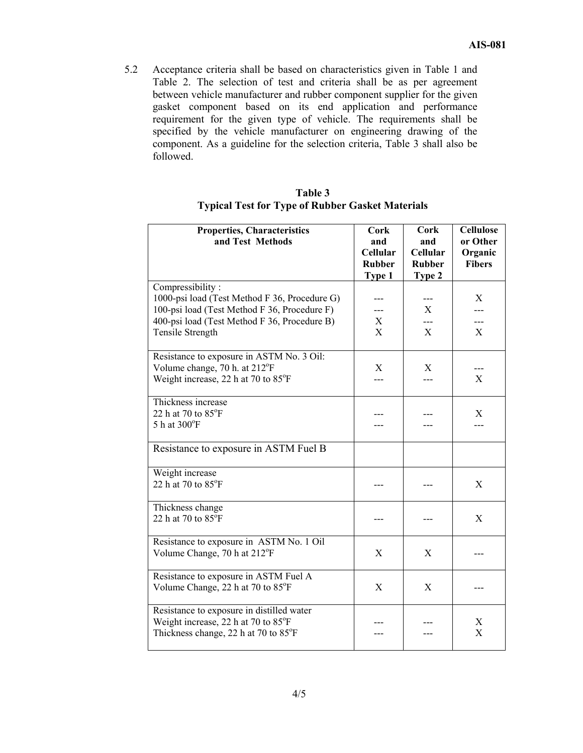5.2 Acceptance criteria shall be based on characteristics given in Table 1 and Table 2. The selection of test and criteria shall be as per agreement between vehicle manufacturer and rubber component supplier for the given gasket component based on its end application and performance requirement for the given type of vehicle. The requirements shall be specified by the vehicle manufacturer on engineering drawing of the component. As a guideline for the selection criteria, Table 3 shall also be followed.

| Table 3                                                 |
|---------------------------------------------------------|
| <b>Typical Test for Type of Rubber Gasket Materials</b> |

| <b>Properties, Characteristics</b><br>and Test Methods                                                                                                                                | <b>Cork</b><br>and<br>Cellular<br><b>Rubber</b><br>Type 1 | <b>Cork</b><br>and<br><b>Cellular</b><br><b>Rubber</b><br>Type 2 | <b>Cellulose</b><br>or Other<br>Organic<br><b>Fibers</b> |
|---------------------------------------------------------------------------------------------------------------------------------------------------------------------------------------|-----------------------------------------------------------|------------------------------------------------------------------|----------------------------------------------------------|
| Compressibility:<br>1000-psi load (Test Method F 36, Procedure G)<br>100-psi load (Test Method F 36, Procedure F)<br>400-psi load (Test Method F 36, Procedure B)<br>Tensile Strength | X<br>$\mathbf{X}$                                         | X<br>$---$<br>X                                                  | X<br>---<br>X                                            |
| Resistance to exposure in ASTM No. 3 Oil:<br>Volume change, 70 h. at 212°F<br>Weight increase, 22 h at 70 to 85°F                                                                     | X                                                         | X                                                                | X                                                        |
| Thickness increase<br>22 h at 70 to $85^{\circ}$ F<br>5 h at 300°F                                                                                                                    |                                                           |                                                                  | X<br>---                                                 |
| Resistance to exposure in ASTM Fuel B                                                                                                                                                 |                                                           |                                                                  |                                                          |
| Weight increase<br>22 h at 70 to 85°F                                                                                                                                                 |                                                           |                                                                  | X                                                        |
| Thickness change<br>22 h at 70 to 85°F                                                                                                                                                |                                                           |                                                                  | X                                                        |
| Resistance to exposure in ASTM No. 1 Oil<br>Volume Change, 70 h at 212°F                                                                                                              | X                                                         | X                                                                |                                                          |
| Resistance to exposure in ASTM Fuel A<br>Volume Change, 22 h at 70 to 85°F                                                                                                            | $\boldsymbol{\mathrm{X}}$                                 | X                                                                |                                                          |
| Resistance to exposure in distilled water<br>Weight increase, 22 h at 70 to 85°F<br>Thickness change, 22 h at 70 to 85°F                                                              |                                                           |                                                                  | X<br>X                                                   |